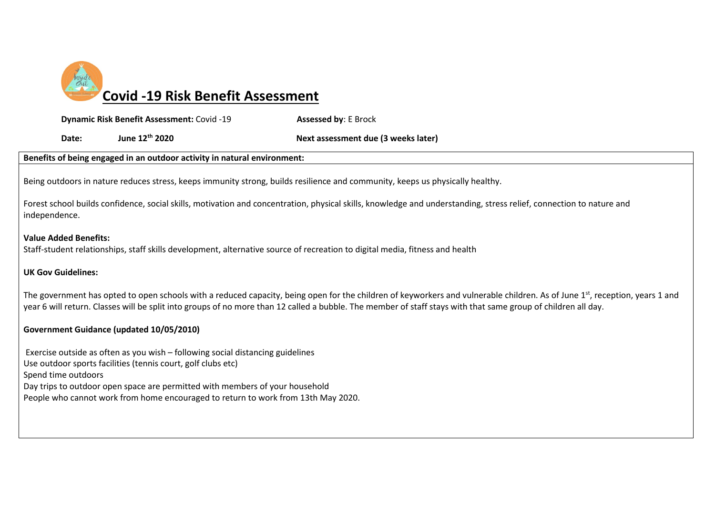

**Dynamic Risk Benefit Assessment:** Covid -19 **Assessed by**: E Brock

Date: June 12<sup>th</sup> 2020 **Next assessment due (3 weeks later) Date:** 

#### **Benefits of being engaged in an outdoor activity in natural environment:**

Being outdoors in nature reduces stress, keeps immunity strong, builds resilience and community, keeps us physically healthy.

Forest school builds confidence, social skills, motivation and concentration, physical skills, knowledge and understanding, stress relief, connection to nature and independence.

### **Value Added Benefits:**

Staff-student relationships, staff skills development, alternative source of recreation to digital media, fitness and health

### **UK Gov Guidelines:**

The government has opted to open schools with a reduced capacity, being open for the children of keyworkers and vulnerable children. As of June 1<sup>st</sup>, reception, years 1 and year 6 will return. Classes will be split into groups of no more than 12 called a bubble. The member of staff stays with that same group of children all day.

### **Government Guidance (updated 10/05/2010)**

Exercise outside as often as you wish – following social distancing guidelines Use outdoor sports facilities (tennis court, golf clubs etc) Spend time outdoors Day trips to outdoor open space are permitted with members of your household People who cannot work from home encouraged to return to work from 13th May 2020.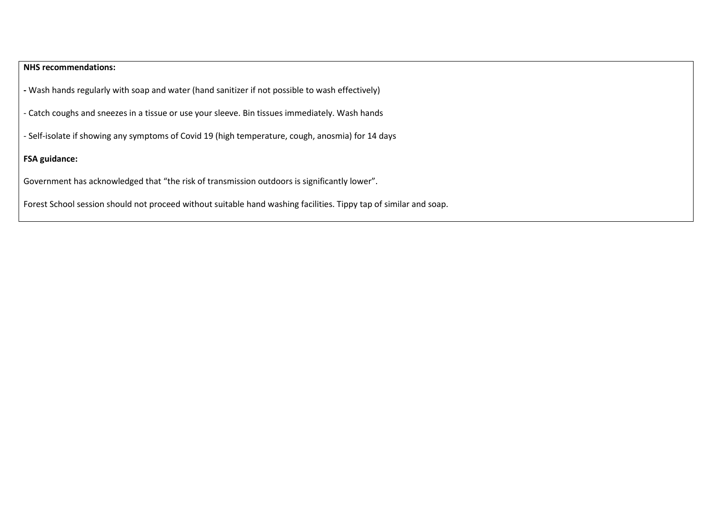# **NHS recommendations:**

**-** Wash hands regularly with soap and water (hand sanitizer if not possible to wash effectively)

- Catch coughs and sneezes in a tissue or use your sleeve. Bin tissues immediately. Wash hands

- Self-isolate if showing any symptoms of Covid 19 (high temperature, cough, anosmia) for 14 days

## **FSA guidance:**

Government has acknowledged that "the risk of transmission outdoors is significantly lower".

Forest School session should not proceed without suitable hand washing facilities. Tippy tap of similar and soap.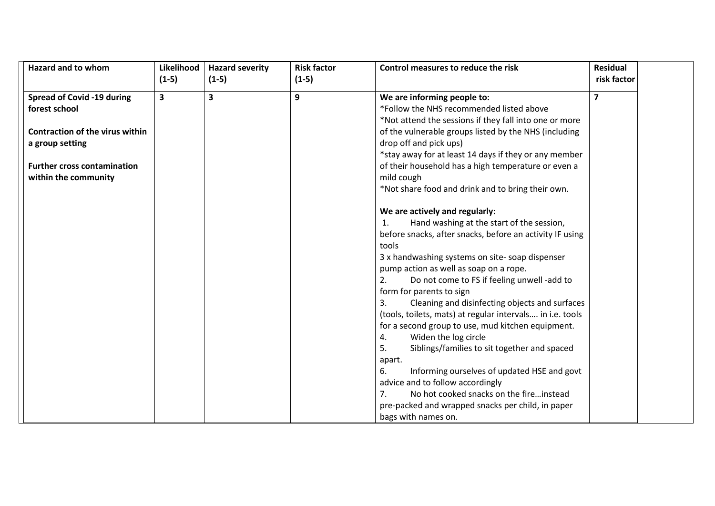| <b>Hazard and to whom</b>              | Likelihood | <b>Hazard severity</b> | <b>Risk factor</b> | Control measures to reduce the risk                       | <b>Residual</b> |  |
|----------------------------------------|------------|------------------------|--------------------|-----------------------------------------------------------|-----------------|--|
|                                        | $(1-5)$    | $(1-5)$                | $(1-5)$            |                                                           | risk factor     |  |
| <b>Spread of Covid -19 during</b>      | 3          | 3                      | 9                  | We are informing people to:                               | $\overline{7}$  |  |
| forest school                          |            |                        |                    | *Follow the NHS recommended listed above                  |                 |  |
|                                        |            |                        |                    |                                                           |                 |  |
|                                        |            |                        |                    | *Not attend the sessions if they fall into one or more    |                 |  |
| <b>Contraction of the virus within</b> |            |                        |                    | of the vulnerable groups listed by the NHS (including     |                 |  |
| a group setting                        |            |                        |                    | drop off and pick ups)                                    |                 |  |
|                                        |            |                        |                    | *stay away for at least 14 days if they or any member     |                 |  |
| <b>Further cross contamination</b>     |            |                        |                    | of their household has a high temperature or even a       |                 |  |
| within the community                   |            |                        |                    | mild cough                                                |                 |  |
|                                        |            |                        |                    | *Not share food and drink and to bring their own.         |                 |  |
|                                        |            |                        |                    |                                                           |                 |  |
|                                        |            |                        |                    | We are actively and regularly:                            |                 |  |
|                                        |            |                        |                    | Hand washing at the start of the session,<br>1.           |                 |  |
|                                        |            |                        |                    | before snacks, after snacks, before an activity IF using  |                 |  |
|                                        |            |                        |                    | tools                                                     |                 |  |
|                                        |            |                        |                    | 3 x handwashing systems on site-soap dispenser            |                 |  |
|                                        |            |                        |                    | pump action as well as soap on a rope.                    |                 |  |
|                                        |            |                        |                    | 2.<br>Do not come to FS if feeling unwell -add to         |                 |  |
|                                        |            |                        |                    | form for parents to sign                                  |                 |  |
|                                        |            |                        |                    | Cleaning and disinfecting objects and surfaces<br>3.      |                 |  |
|                                        |            |                        |                    | (tools, toilets, mats) at regular intervals in i.e. tools |                 |  |
|                                        |            |                        |                    | for a second group to use, mud kitchen equipment.         |                 |  |
|                                        |            |                        |                    | Widen the log circle<br>4.                                |                 |  |
|                                        |            |                        |                    | 5.<br>Siblings/families to sit together and spaced        |                 |  |
|                                        |            |                        |                    | apart.                                                    |                 |  |
|                                        |            |                        |                    | 6.<br>Informing ourselves of updated HSE and govt         |                 |  |
|                                        |            |                        |                    | advice and to follow accordingly                          |                 |  |
|                                        |            |                        |                    | No hot cooked snacks on the fireinstead<br>7.             |                 |  |
|                                        |            |                        |                    | pre-packed and wrapped snacks per child, in paper         |                 |  |
|                                        |            |                        |                    | bags with names on.                                       |                 |  |